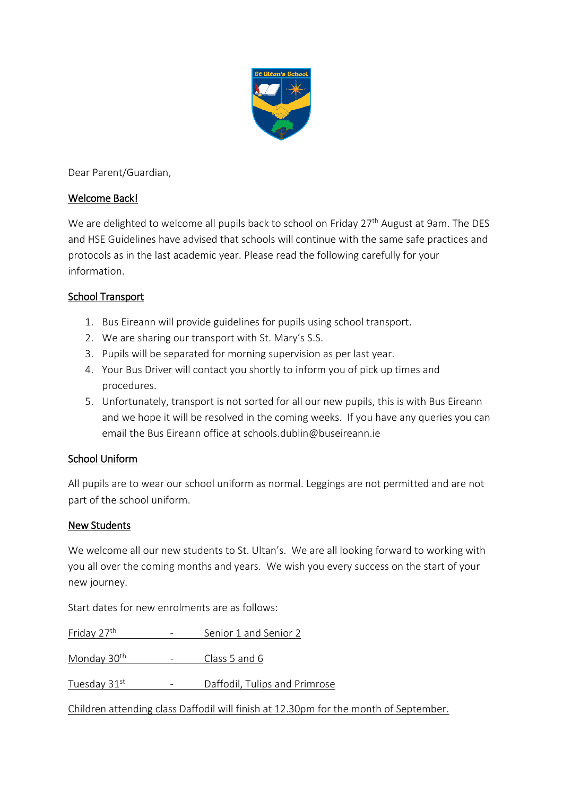

Dear Parent/Guardian,

### Welcome Back!

We are delighted to welcome all pupils back to school on Friday 27<sup>th</sup> August at 9am. The DES and HSE Guidelines have advised that schools will continue with the same safe practices and protocols as in the last academic year. Please read the following carefully for your information.

# School Transport

- 1. Bus Eireann will provide guidelines for pupils using school transport.
- 2. We are sharing our transport with St. Mary's S.S.
- 3. Pupils will be separated for morning supervision as per last year.
- 4. Your Bus Driver will contact you shortly to inform you of pick up times and procedures.
- 5. Unfortunately, transport is not sorted for all our new pupils, this is with Bus Eireann and we hope it will be resolved in the coming weeks. If you have any queries you can email the Bus Eireann office at schools.dublin@buseireann.ie

# School Uniform

All pupils are to wear our school uniform as normal. Leggings are not permitted and are not part of the school uniform.

#### New Students

We welcome all our new students to St. Ultan's. We are all looking forward to working with you all over the coming months and years. We wish you every success on the start of your new journey.

Start dates for new enrolments are as follows:

| Friday 27 <sup>th</sup>                                                              | $\overline{\phantom{m}}$ | Senior 1 and Senior 2         |
|--------------------------------------------------------------------------------------|--------------------------|-------------------------------|
| Monday 30 <sup>th</sup>                                                              |                          | Class 5 and 6                 |
| Tuesday 31st                                                                         | $\qquad \qquad -$        | Daffodil, Tulips and Primrose |
| Children attending class Daffodil will finish at 12.30pm for the month of September. |                          |                               |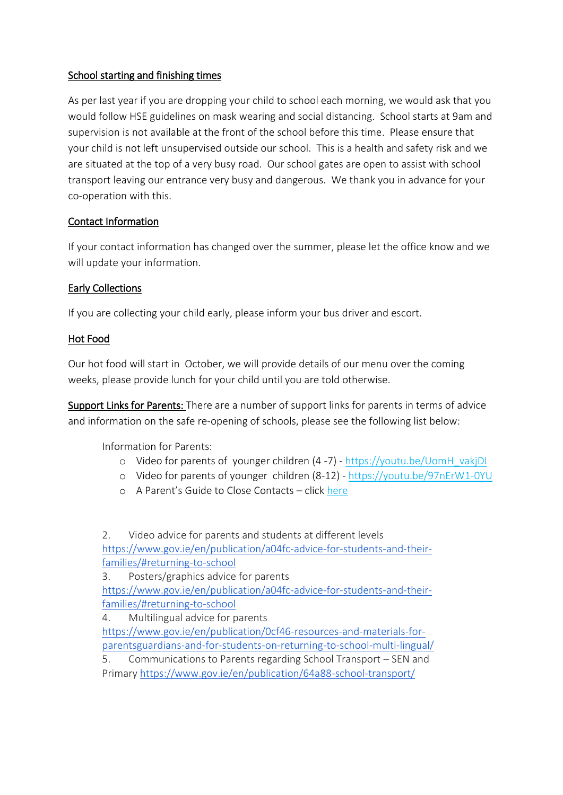### School starting and finishing times

As per last year if you are dropping your child to school each morning, we would ask that you would follow HSE guidelines on mask wearing and social distancing. School starts at 9am and supervision is not available at the front of the school before this time. Please ensure that your child is not left unsupervised outside our school. This is a health and safety risk and we are situated at the top of a very busy road. Our school gates are open to assist with school transport leaving our entrance very busy and dangerous. We thank you in advance for your co-operation with this.

# Contact Information

If your contact information has changed over the summer, please let the office know and we will update your information.

### Early Collections

If you are collecting your child early, please inform your bus driver and escort.

### Hot Food

Our hot food will start in October, we will provide details of our menu over the coming weeks, please provide lunch for your child until you are told otherwise.

Support Links for Parents: There are a number of support links for parents in terms of advice and information on the safe re-opening of schools, please see the following list below:

Information for Parents:

- o Video for parents of younger children (4 -7) [https://youtu.be/UomH\\_vakjDI](https://youtu.be/UomH_vakjDI)
- o Video for parents of younger children (8-12) <https://youtu.be/97nErW1-0YU>
- o A Parent's Guide to Close Contacts clic[k here](https://www.hpsc.ie/a-z/respiratory/coronavirus/novelcoronavirus/guidance/educationguidance/A%20Parents%20Guide%20to%20Close%20Contacts%20in%20School.pdf)

2. Video advice for parents and students at different levels [https://www.gov.ie/en/publication/a04fc-advice-for-students-and-their](https://www.gov.ie/en/publication/a04fc-advice-for-students-and-their-families/#returning-to-school)[families/#returning-to-school](https://www.gov.ie/en/publication/a04fc-advice-for-students-and-their-families/#returning-to-school) 3. Posters/graphics advice for parents [https://www.gov.ie/en/publication/a04fc-advice-for-students-and-their-](https://www.gov.ie/en/publication/a04fc-advice-for-students-and-their-families/#returning-to-school)

[families/#returning-to-school](https://www.gov.ie/en/publication/a04fc-advice-for-students-and-their-families/#returning-to-school)

4. Multilingual advice for parents [https://www.gov.ie/en/publication/0cf46-resources-and-materials-for](https://www.gov.ie/en/publication/0cf46-resources-and-materials-for-parentsguardians-and-for-students-on-returning-to-school-multi-lingual/)[parentsguardians-and-for-students-on-returning-to-school-multi-lingual/](https://www.gov.ie/en/publication/0cf46-resources-and-materials-for-parentsguardians-and-for-students-on-returning-to-school-multi-lingual/) 5. Communications to Parents regarding School Transport – SEN and

Primary <https://www.gov.ie/en/publication/64a88-school-transport/>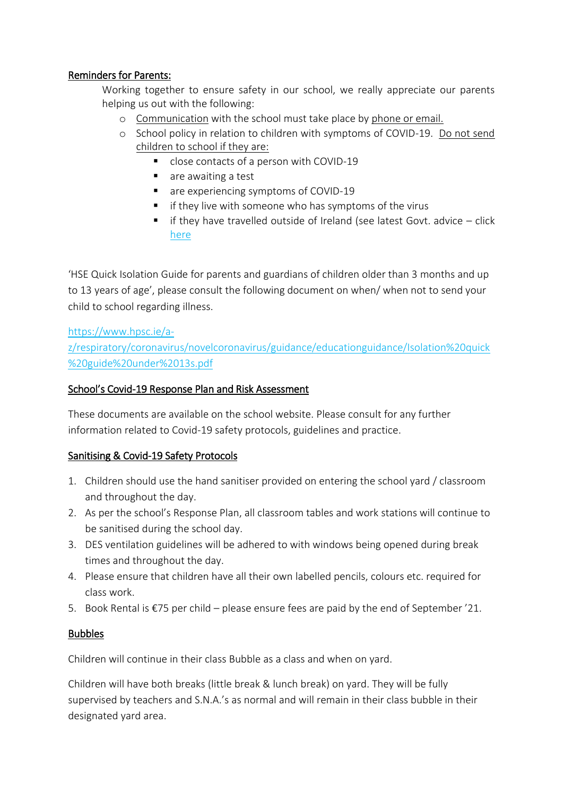### Reminders for Parents:

Working together to ensure safety in our school, we really appreciate our parents helping us out with the following:

- o Communication with the school must take place by phone or email.
- o School policy in relation to children with symptoms of COVID-19. Do not send children to school if they are:
	- close contacts of a person with COVID-19
	- are awaiting a test
	- **are experiencing symptoms of COVID-19**
	- if they live with someone who has symptoms of the virus
	- $\blacksquare$  if they have travelled outside of Ireland (see latest Govt. advice click [here](https://www.gov.ie/en/publication/b4020-travelling-to-ireland-during-the-covid-19-pandemic/)

'HSE Quick Isolation Guide for parents and guardians of children older than 3 months and up to 13 years of age', please consult the following document on when/ when not to send your child to school regarding illness.

[https://www.hpsc.ie/a-](https://www.hpsc.ie/a-z/respiratory/coronavirus/novelcoronavirus/guidance/educationguidance/Isolation%20quick%20guide%20under%2013s.pdf)

[z/respiratory/coronavirus/novelcoronavirus/guidance/educationguidance/Isolation%20quick](https://www.hpsc.ie/a-z/respiratory/coronavirus/novelcoronavirus/guidance/educationguidance/Isolation%20quick%20guide%20under%2013s.pdf) [%20guide%20under%2013s.pdf](https://www.hpsc.ie/a-z/respiratory/coronavirus/novelcoronavirus/guidance/educationguidance/Isolation%20quick%20guide%20under%2013s.pdf)

#### School's Covid-19 Response Plan and Risk Assessment

These documents are available on the school website. Please consult for any further information related to Covid-19 safety protocols, guidelines and practice.

#### Sanitising & Covid-19 Safety Protocols

- 1. Children should use the hand sanitiser provided on entering the school yard / classroom and throughout the day.
- 2. As per the school's Response Plan, all classroom tables and work stations will continue to be sanitised during the school day.
- 3. DES ventilation guidelines will be adhered to with windows being opened during break times and throughout the day.
- 4. Please ensure that children have all their own labelled pencils, colours etc. required for class work.
- 5. Book Rental is €75 per child please ensure fees are paid by the end of September '21.

#### **Bubbles**

Children will continue in their class Bubble as a class and when on yard.

Children will have both breaks (little break & lunch break) on yard. They will be fully supervised by teachers and S.N.A.'s as normal and will remain in their class bubble in their designated yard area.